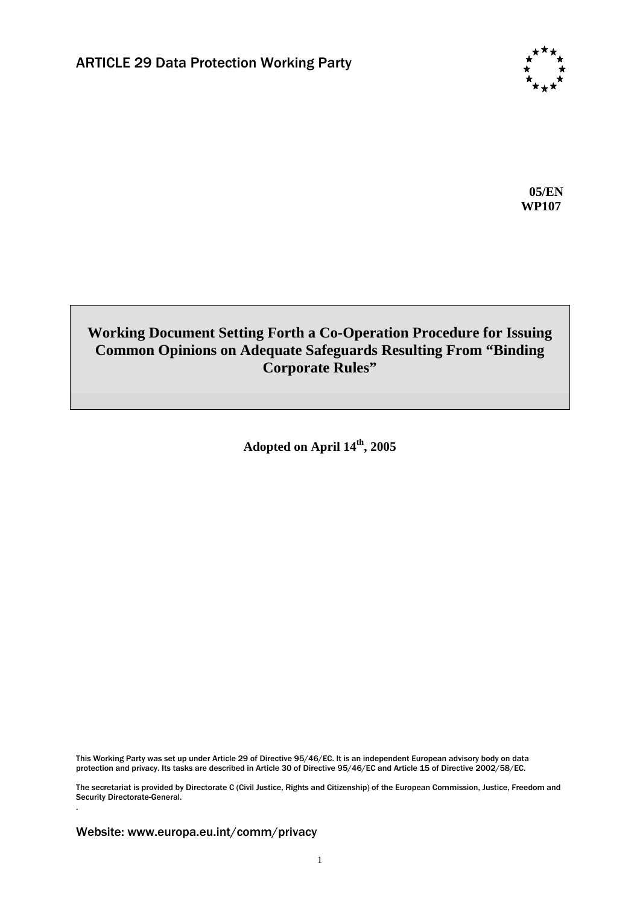

**05/EN WP107** 

## **Working Document Setting Forth a Co-Operation Procedure for Issuing Common Opinions on Adequate Safeguards Resulting From "Binding Corporate Rules"**

**Adopted on April 14th, 2005** 

This Working Party was set up under Article 29 of Directive 95/46/EC. It is an independent European advisory body on data protection and privacy. Its tasks are described in Article 30 of Directive 95/46/EC and Article 15 of Directive 2002/58/EC.

The secretariat is provided by Directorate C (Civil Justice, Rights and Citizenship) of the European Commission, Justice, Freedom and Security Directorate-General.

Website: www.europa.eu.int/comm/privacy

.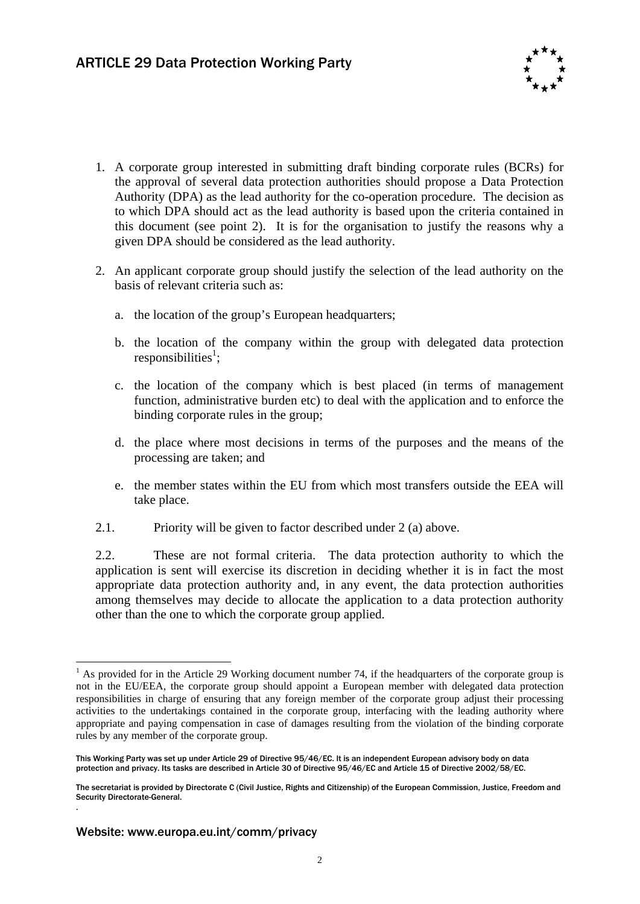

- 1. A corporate group interested in submitting draft binding corporate rules (BCRs) for the approval of several data protection authorities should propose a Data Protection Authority (DPA) as the lead authority for the co-operation procedure. The decision as to which DPA should act as the lead authority is based upon the criteria contained in this document (see point 2). It is for the organisation to justify the reasons why a given DPA should be considered as the lead authority.
- 2. An applicant corporate group should justify the selection of the lead authority on the basis of relevant criteria such as:
	- a. the location of the group's European headquarters;
	- b. the location of the company within the group with delegated data protection responsibilities<sup>1</sup>;
	- c. the location of the company which is best placed (in terms of management function, administrative burden etc) to deal with the application and to enforce the binding corporate rules in the group;
	- d. the place where most decisions in terms of the purposes and the means of the processing are taken; and
	- e. the member states within the EU from which most transfers outside the EEA will take place.
- 2.1. Priority will be given to factor described under 2 (a) above.

2.2. These are not formal criteria. The data protection authority to which the application is sent will exercise its discretion in deciding whether it is in fact the most appropriate data protection authority and, in any event, the data protection authorities among themselves may decide to allocate the application to a data protection authority other than the one to which the corporate group applied.

.

<u>.</u>

 $<sup>1</sup>$  As provided for in the Article 29 Working document number 74, if the headquarters of the corporate group is</sup> not in the EU/EEA, the corporate group should appoint a European member with delegated data protection responsibilities in charge of ensuring that any foreign member of the corporate group adjust their processing activities to the undertakings contained in the corporate group, interfacing with the leading authority where appropriate and paying compensation in case of damages resulting from the violation of the binding corporate rules by any member of the corporate group.

This Working Party was set up under Article 29 of Directive 95/46/EC. It is an independent European advisory body on data protection and privacy. Its tasks are described in Article 30 of Directive 95/46/EC and Article 15 of Directive 2002/58/EC.

The secretariat is provided by Directorate C (Civil Justice, Rights and Citizenship) of the European Commission, Justice, Freedom and Security Directorate-General.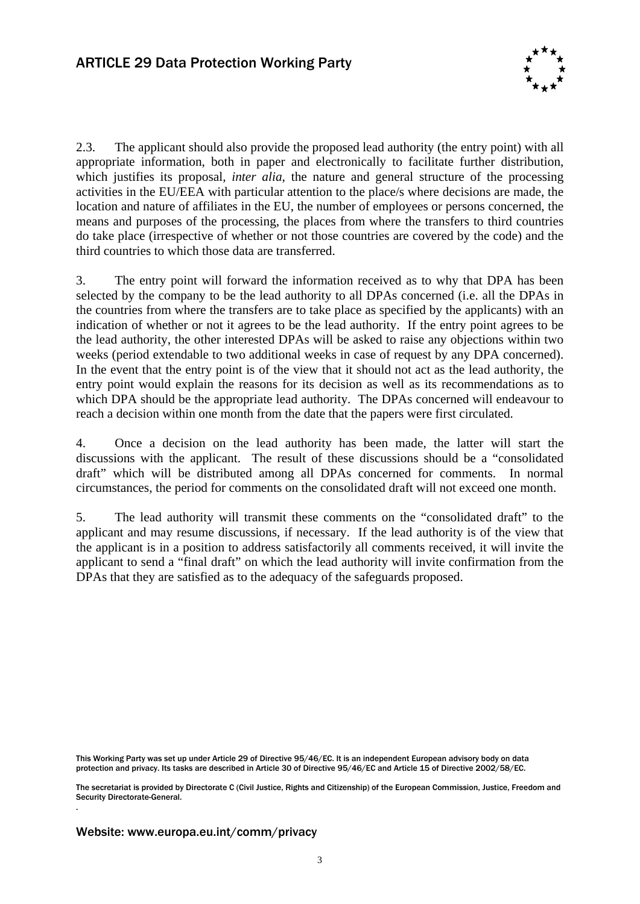

2.3. The applicant should also provide the proposed lead authority (the entry point) with all appropriate information, both in paper and electronically to facilitate further distribution, which justifies its proposal, *inter alia*, the nature and general structure of the processing activities in the EU/EEA with particular attention to the place/s where decisions are made, the location and nature of affiliates in the EU, the number of employees or persons concerned, the means and purposes of the processing, the places from where the transfers to third countries do take place (irrespective of whether or not those countries are covered by the code) and the third countries to which those data are transferred.

3. The entry point will forward the information received as to why that DPA has been selected by the company to be the lead authority to all DPAs concerned (i.e. all the DPAs in the countries from where the transfers are to take place as specified by the applicants) with an indication of whether or not it agrees to be the lead authority. If the entry point agrees to be the lead authority, the other interested DPAs will be asked to raise any objections within two weeks (period extendable to two additional weeks in case of request by any DPA concerned). In the event that the entry point is of the view that it should not act as the lead authority, the entry point would explain the reasons for its decision as well as its recommendations as to which DPA should be the appropriate lead authority. The DPAs concerned will endeavour to reach a decision within one month from the date that the papers were first circulated.

4. Once a decision on the lead authority has been made, the latter will start the discussions with the applicant. The result of these discussions should be a "consolidated draft" which will be distributed among all DPAs concerned for comments. In normal circumstances, the period for comments on the consolidated draft will not exceed one month.

5. The lead authority will transmit these comments on the "consolidated draft" to the applicant and may resume discussions, if necessary. If the lead authority is of the view that the applicant is in a position to address satisfactorily all comments received, it will invite the applicant to send a "final draft" on which the lead authority will invite confirmation from the DPAs that they are satisfied as to the adequacy of the safeguards proposed.

This Working Party was set up under Article 29 of Directive 95/46/EC. It is an independent European advisory body on data protection and privacy. Its tasks are described in Article 30 of Directive 95/46/EC and Article 15 of Directive 2002/58/EC.

The secretariat is provided by Directorate C (Civil Justice, Rights and Citizenship) of the European Commission, Justice, Freedom and Security Directorate-General.

## Website: www.europa.eu.int/comm/privacy

.